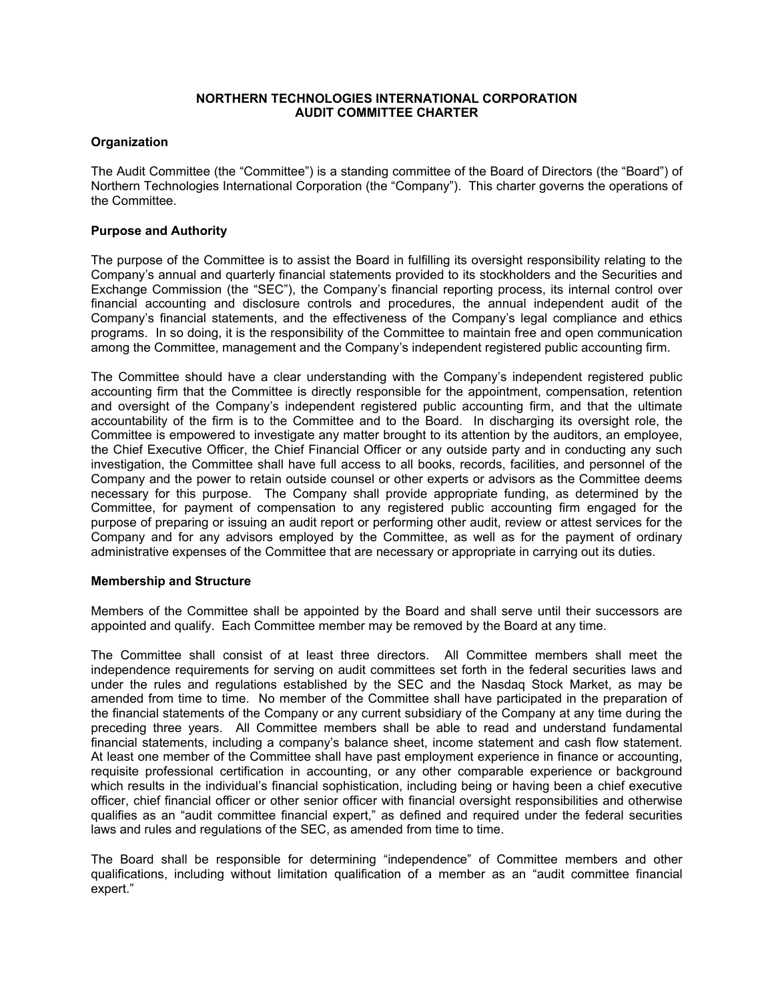#### **NORTHERN TECHNOLOGIES INTERNATIONAL CORPORATION AUDIT COMMITTEE CHARTER**

# **Organization**

The Audit Committee (the "Committee") is a standing committee of the Board of Directors (the "Board") of Northern Technologies International Corporation (the "Company"). This charter governs the operations of the Committee.

### **Purpose and Authority**

The purpose of the Committee is to assist the Board in fulfilling its oversight responsibility relating to the Company's annual and quarterly financial statements provided to its stockholders and the Securities and Exchange Commission (the "SEC"), the Company's financial reporting process, its internal control over financial accounting and disclosure controls and procedures, the annual independent audit of the Company's financial statements, and the effectiveness of the Company's legal compliance and ethics programs. In so doing, it is the responsibility of the Committee to maintain free and open communication among the Committee, management and the Company's independent registered public accounting firm.

The Committee should have a clear understanding with the Company's independent registered public accounting firm that the Committee is directly responsible for the appointment, compensation, retention and oversight of the Company's independent registered public accounting firm, and that the ultimate accountability of the firm is to the Committee and to the Board. In discharging its oversight role, the Committee is empowered to investigate any matter brought to its attention by the auditors, an employee, the Chief Executive Officer, the Chief Financial Officer or any outside party and in conducting any such investigation, the Committee shall have full access to all books, records, facilities, and personnel of the Company and the power to retain outside counsel or other experts or advisors as the Committee deems necessary for this purpose. The Company shall provide appropriate funding, as determined by the Committee, for payment of compensation to any registered public accounting firm engaged for the purpose of preparing or issuing an audit report or performing other audit, review or attest services for the Company and for any advisors employed by the Committee, as well as for the payment of ordinary administrative expenses of the Committee that are necessary or appropriate in carrying out its duties.

### **Membership and Structure**

Members of the Committee shall be appointed by the Board and shall serve until their successors are appointed and qualify. Each Committee member may be removed by the Board at any time.

The Committee shall consist of at least three directors. All Committee members shall meet the independence requirements for serving on audit committees set forth in the federal securities laws and under the rules and regulations established by the SEC and the Nasdaq Stock Market, as may be amended from time to time. No member of the Committee shall have participated in the preparation of the financial statements of the Company or any current subsidiary of the Company at any time during the preceding three years. All Committee members shall be able to read and understand fundamental financial statements, including a company's balance sheet, income statement and cash flow statement. At least one member of the Committee shall have past employment experience in finance or accounting, requisite professional certification in accounting, or any other comparable experience or background which results in the individual's financial sophistication, including being or having been a chief executive officer, chief financial officer or other senior officer with financial oversight responsibilities and otherwise qualifies as an "audit committee financial expert," as defined and required under the federal securities laws and rules and regulations of the SEC, as amended from time to time.

The Board shall be responsible for determining "independence" of Committee members and other qualifications, including without limitation qualification of a member as an "audit committee financial expert."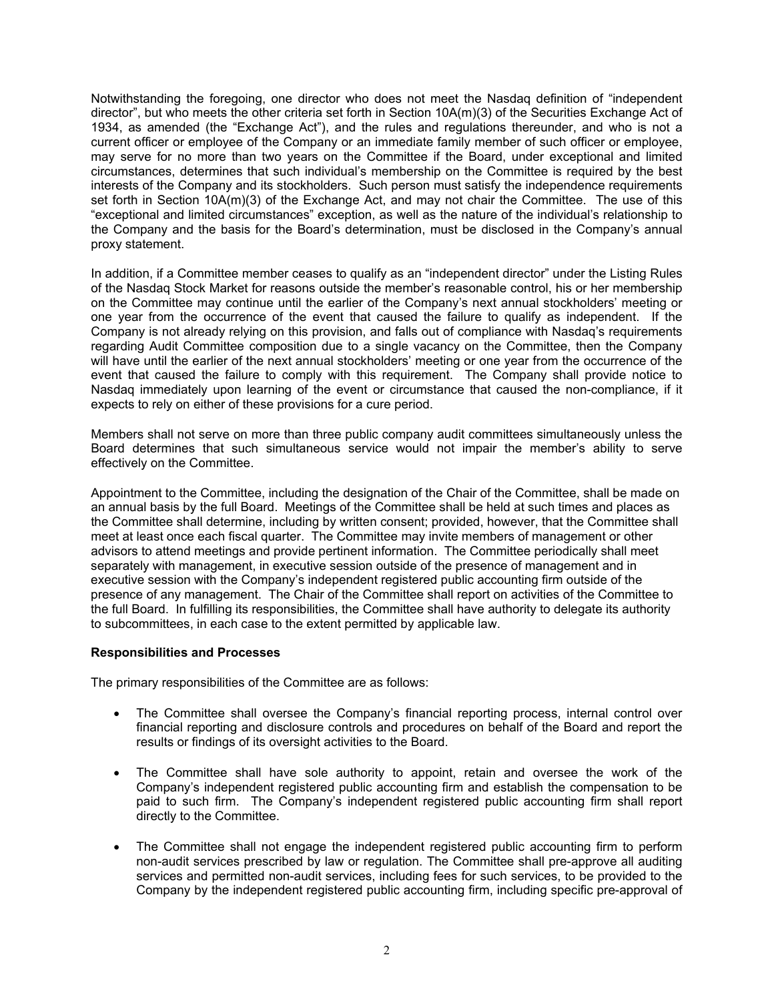Notwithstanding the foregoing, one director who does not meet the Nasdaq definition of "independent director", but who meets the other criteria set forth in Section 10A(m)(3) of the Securities Exchange Act of 1934, as amended (the "Exchange Act"), and the rules and regulations thereunder, and who is not a current officer or employee of the Company or an immediate family member of such officer or employee, may serve for no more than two years on the Committee if the Board, under exceptional and limited circumstances, determines that such individual's membership on the Committee is required by the best interests of the Company and its stockholders. Such person must satisfy the independence requirements set forth in Section 10A(m)(3) of the Exchange Act, and may not chair the Committee. The use of this "exceptional and limited circumstances" exception, as well as the nature of the individual's relationship to the Company and the basis for the Board's determination, must be disclosed in the Company's annual proxy statement.

In addition, if a Committee member ceases to qualify as an "independent director" under the Listing Rules of the Nasdaq Stock Market for reasons outside the member's reasonable control, his or her membership on the Committee may continue until the earlier of the Company's next annual stockholders' meeting or one year from the occurrence of the event that caused the failure to qualify as independent. If the Company is not already relying on this provision, and falls out of compliance with Nasdaq's requirements regarding Audit Committee composition due to a single vacancy on the Committee, then the Company will have until the earlier of the next annual stockholders' meeting or one year from the occurrence of the event that caused the failure to comply with this requirement. The Company shall provide notice to Nasdaq immediately upon learning of the event or circumstance that caused the non-compliance, if it expects to rely on either of these provisions for a cure period.

Members shall not serve on more than three public company audit committees simultaneously unless the Board determines that such simultaneous service would not impair the member's ability to serve effectively on the Committee.

Appointment to the Committee, including the designation of the Chair of the Committee, shall be made on an annual basis by the full Board. Meetings of the Committee shall be held at such times and places as the Committee shall determine, including by written consent; provided, however, that the Committee shall meet at least once each fiscal quarter. The Committee may invite members of management or other advisors to attend meetings and provide pertinent information. The Committee periodically shall meet separately with management, in executive session outside of the presence of management and in executive session with the Company's independent registered public accounting firm outside of the presence of any management. The Chair of the Committee shall report on activities of the Committee to the full Board. In fulfilling its responsibilities, the Committee shall have authority to delegate its authority to subcommittees, in each case to the extent permitted by applicable law.

### **Responsibilities and Processes**

The primary responsibilities of the Committee are as follows:

- The Committee shall oversee the Company's financial reporting process, internal control over financial reporting and disclosure controls and procedures on behalf of the Board and report the results or findings of its oversight activities to the Board.
- The Committee shall have sole authority to appoint, retain and oversee the work of the Company's independent registered public accounting firm and establish the compensation to be paid to such firm. The Company's independent registered public accounting firm shall report directly to the Committee.
- The Committee shall not engage the independent registered public accounting firm to perform non-audit services prescribed by law or regulation. The Committee shall pre-approve all auditing services and permitted non-audit services, including fees for such services, to be provided to the Company by the independent registered public accounting firm, including specific pre-approval of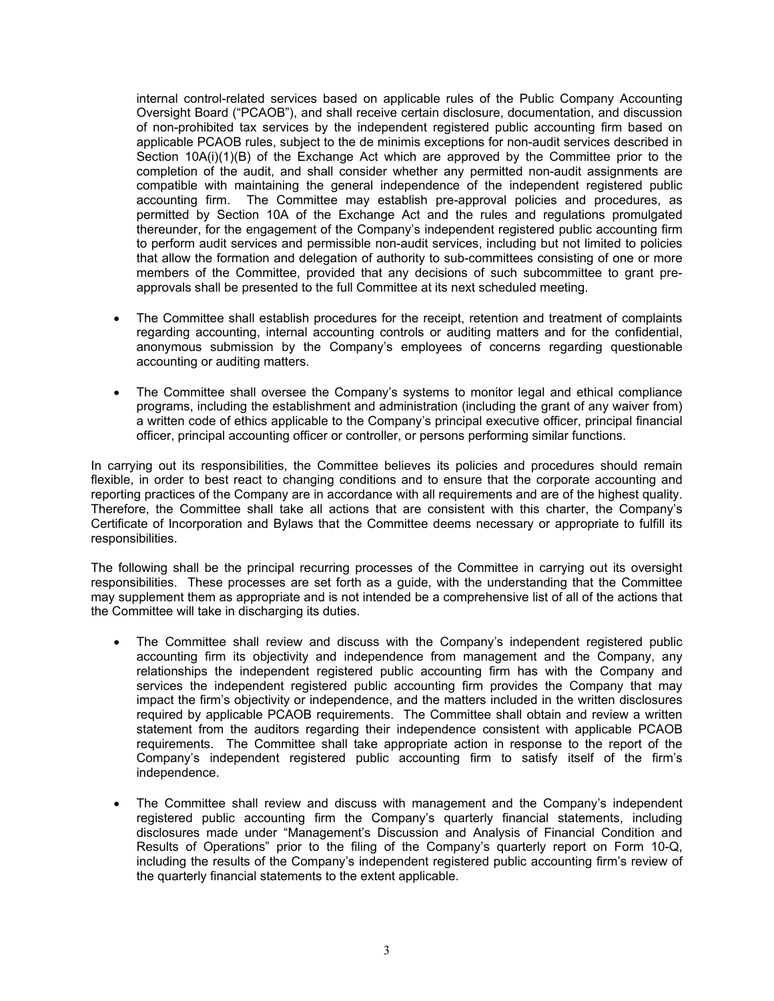internal control-related services based on applicable rules of the Public Company Accounting Oversight Board ("PCAOB"), and shall receive certain disclosure, documentation, and discussion of non-prohibited tax services by the independent registered public accounting firm based on applicable PCAOB rules, subject to the de minimis exceptions for non-audit services described in Section 10A(i)(1)(B) of the Exchange Act which are approved by the Committee prior to the completion of the audit, and shall consider whether any permitted non-audit assignments are compatible with maintaining the general independence of the independent registered public accounting firm. The Committee may establish pre-approval policies and procedures, as permitted by Section 10A of the Exchange Act and the rules and regulations promulgated thereunder, for the engagement of the Company's independent registered public accounting firm to perform audit services and permissible non-audit services, including but not limited to policies that allow the formation and delegation of authority to sub-committees consisting of one or more members of the Committee, provided that any decisions of such subcommittee to grant preapprovals shall be presented to the full Committee at its next scheduled meeting.

- The Committee shall establish procedures for the receipt, retention and treatment of complaints regarding accounting, internal accounting controls or auditing matters and for the confidential, anonymous submission by the Company's employees of concerns regarding questionable accounting or auditing matters.
- The Committee shall oversee the Company's systems to monitor legal and ethical compliance programs, including the establishment and administration (including the grant of any waiver from) a written code of ethics applicable to the Company's principal executive officer, principal financial officer, principal accounting officer or controller, or persons performing similar functions.

In carrying out its responsibilities, the Committee believes its policies and procedures should remain flexible, in order to best react to changing conditions and to ensure that the corporate accounting and reporting practices of the Company are in accordance with all requirements and are of the highest quality. Therefore, the Committee shall take all actions that are consistent with this charter, the Company's Certificate of Incorporation and Bylaws that the Committee deems necessary or appropriate to fulfill its responsibilities.

The following shall be the principal recurring processes of the Committee in carrying out its oversight responsibilities. These processes are set forth as a guide, with the understanding that the Committee may supplement them as appropriate and is not intended be a comprehensive list of all of the actions that the Committee will take in discharging its duties.

- The Committee shall review and discuss with the Company's independent registered public accounting firm its objectivity and independence from management and the Company, any relationships the independent registered public accounting firm has with the Company and services the independent registered public accounting firm provides the Company that may impact the firm's objectivity or independence, and the matters included in the written disclosures required by applicable PCAOB requirements. The Committee shall obtain and review a written statement from the auditors regarding their independence consistent with applicable PCAOB requirements. The Committee shall take appropriate action in response to the report of the Company's independent registered public accounting firm to satisfy itself of the firm's independence.
- The Committee shall review and discuss with management and the Company's independent registered public accounting firm the Company's quarterly financial statements, including disclosures made under "Management's Discussion and Analysis of Financial Condition and Results of Operations" prior to the filing of the Company's quarterly report on Form 10-Q, including the results of the Company's independent registered public accounting firm's review of the quarterly financial statements to the extent applicable.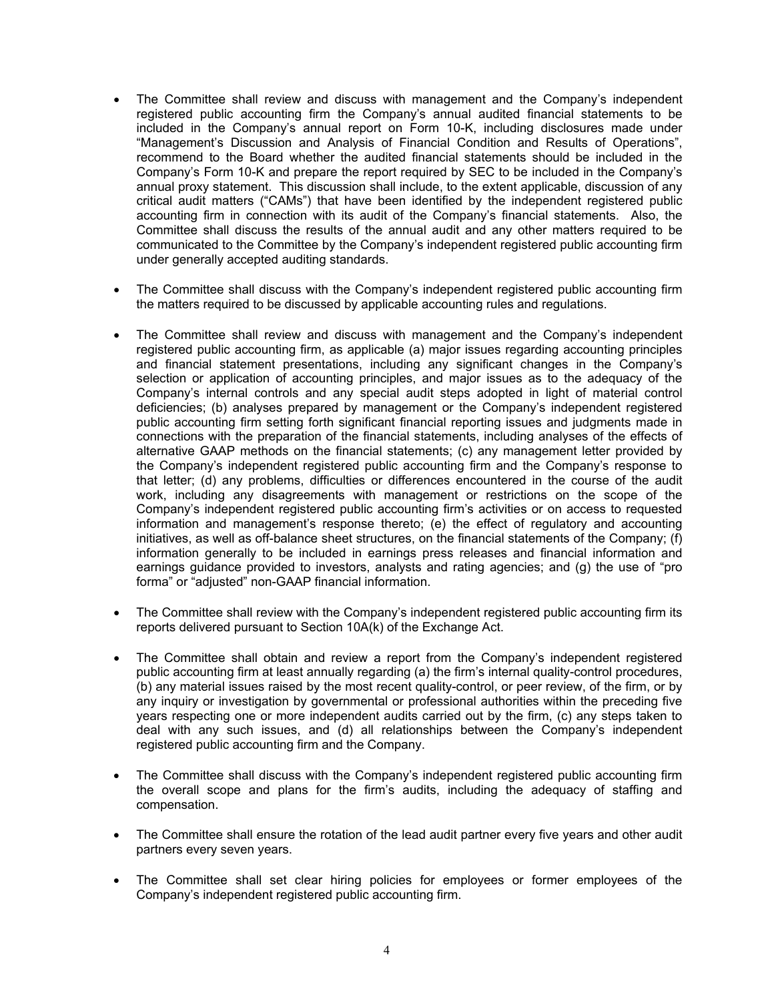- The Committee shall review and discuss with management and the Company's independent registered public accounting firm the Company's annual audited financial statements to be included in the Company's annual report on Form 10-K, including disclosures made under "Management's Discussion and Analysis of Financial Condition and Results of Operations", recommend to the Board whether the audited financial statements should be included in the Company's Form 10-K and prepare the report required by SEC to be included in the Company's annual proxy statement. This discussion shall include, to the extent applicable, discussion of any critical audit matters ("CAMs") that have been identified by the independent registered public accounting firm in connection with its audit of the Company's financial statements. Also, the Committee shall discuss the results of the annual audit and any other matters required to be communicated to the Committee by the Company's independent registered public accounting firm under generally accepted auditing standards.
- The Committee shall discuss with the Company's independent registered public accounting firm the matters required to be discussed by applicable accounting rules and regulations.
- The Committee shall review and discuss with management and the Company's independent registered public accounting firm, as applicable (a) major issues regarding accounting principles and financial statement presentations, including any significant changes in the Company's selection or application of accounting principles, and major issues as to the adequacy of the Company's internal controls and any special audit steps adopted in light of material control deficiencies; (b) analyses prepared by management or the Company's independent registered public accounting firm setting forth significant financial reporting issues and judgments made in connections with the preparation of the financial statements, including analyses of the effects of alternative GAAP methods on the financial statements; (c) any management letter provided by the Company's independent registered public accounting firm and the Company's response to that letter; (d) any problems, difficulties or differences encountered in the course of the audit work, including any disagreements with management or restrictions on the scope of the Company's independent registered public accounting firm's activities or on access to requested information and management's response thereto; (e) the effect of regulatory and accounting initiatives, as well as off-balance sheet structures, on the financial statements of the Company; (f) information generally to be included in earnings press releases and financial information and earnings guidance provided to investors, analysts and rating agencies; and (g) the use of "pro forma" or "adjusted" non-GAAP financial information.
- The Committee shall review with the Company's independent registered public accounting firm its reports delivered pursuant to Section 10A(k) of the Exchange Act.
- The Committee shall obtain and review a report from the Company's independent registered public accounting firm at least annually regarding (a) the firm's internal quality-control procedures, (b) any material issues raised by the most recent quality-control, or peer review, of the firm, or by any inquiry or investigation by governmental or professional authorities within the preceding five years respecting one or more independent audits carried out by the firm, (c) any steps taken to deal with any such issues, and (d) all relationships between the Company's independent registered public accounting firm and the Company.
- The Committee shall discuss with the Company's independent registered public accounting firm the overall scope and plans for the firm's audits, including the adequacy of staffing and compensation.
- The Committee shall ensure the rotation of the lead audit partner every five years and other audit partners every seven years.
- The Committee shall set clear hiring policies for employees or former employees of the Company's independent registered public accounting firm.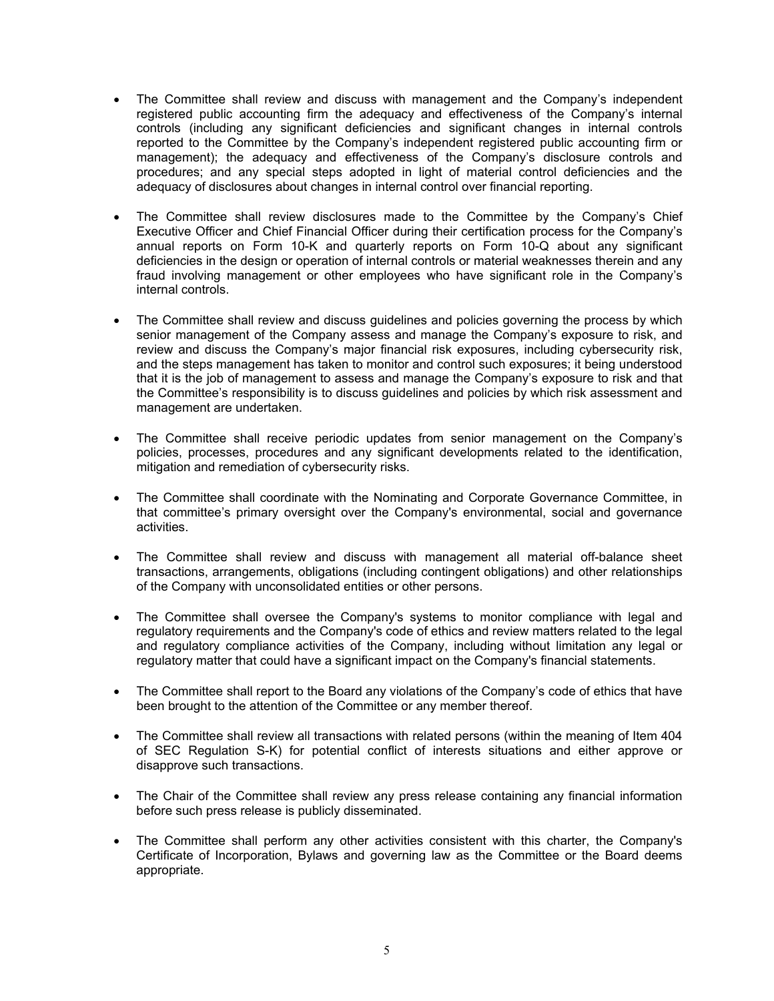- The Committee shall review and discuss with management and the Company's independent registered public accounting firm the adequacy and effectiveness of the Company's internal controls (including any significant deficiencies and significant changes in internal controls reported to the Committee by the Company's independent registered public accounting firm or management); the adequacy and effectiveness of the Company's disclosure controls and procedures; and any special steps adopted in light of material control deficiencies and the adequacy of disclosures about changes in internal control over financial reporting.
- The Committee shall review disclosures made to the Committee by the Company's Chief Executive Officer and Chief Financial Officer during their certification process for the Company's annual reports on Form 10-K and quarterly reports on Form 10-Q about any significant deficiencies in the design or operation of internal controls or material weaknesses therein and any fraud involving management or other employees who have significant role in the Company's internal controls.
- The Committee shall review and discuss guidelines and policies governing the process by which senior management of the Company assess and manage the Company's exposure to risk, and review and discuss the Company's major financial risk exposures, including cybersecurity risk, and the steps management has taken to monitor and control such exposures; it being understood that it is the job of management to assess and manage the Company's exposure to risk and that the Committee's responsibility is to discuss guidelines and policies by which risk assessment and management are undertaken.
- The Committee shall receive periodic updates from senior management on the Company's policies, processes, procedures and any significant developments related to the identification, mitigation and remediation of cybersecurity risks.
- The Committee shall coordinate with the Nominating and Corporate Governance Committee, in that committee's primary oversight over the Company's environmental, social and governance activities.
- The Committee shall review and discuss with management all material off-balance sheet transactions, arrangements, obligations (including contingent obligations) and other relationships of the Company with unconsolidated entities or other persons.
- The Committee shall oversee the Company's systems to monitor compliance with legal and regulatory requirements and the Company's code of ethics and review matters related to the legal and regulatory compliance activities of the Company, including without limitation any legal or regulatory matter that could have a significant impact on the Company's financial statements.
- The Committee shall report to the Board any violations of the Company's code of ethics that have been brought to the attention of the Committee or any member thereof.
- The Committee shall review all transactions with related persons (within the meaning of Item 404 of SEC Regulation S-K) for potential conflict of interests situations and either approve or disapprove such transactions.
- The Chair of the Committee shall review any press release containing any financial information before such press release is publicly disseminated.
- The Committee shall perform any other activities consistent with this charter, the Company's Certificate of Incorporation, Bylaws and governing law as the Committee or the Board deems appropriate.